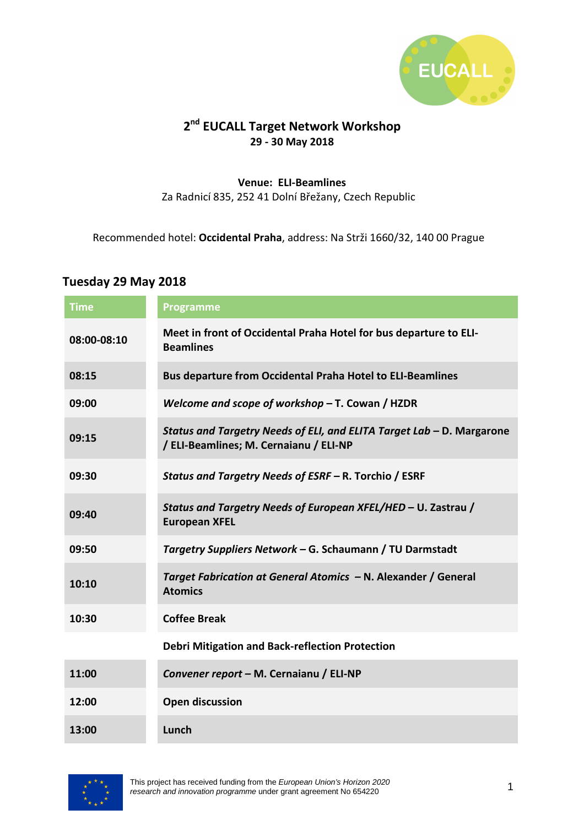

## **2 nd EUCALL Target Network Workshop 29 - 30 May 2018**

#### **Venue: ELI-Beamlines**

Za Radnicí 835, 252 41 Dolní Břežany, Czech Republic

Recommended hotel: **Occidental Praha**, address: Na Strži 1660/32, 140 00 Prague

### **Tuesday 29 May 2018**

| <b>Time</b> | Programme                                                                                                       |
|-------------|-----------------------------------------------------------------------------------------------------------------|
| 08:00-08:10 | Meet in front of Occidental Praha Hotel for bus departure to ELI-<br><b>Beamlines</b>                           |
| 08:15       | <b>Bus departure from Occidental Praha Hotel to ELI-Beamlines</b>                                               |
| 09:00       | Welcome and scope of workshop $-$ T. Cowan / HZDR                                                               |
| 09:15       | Status and Targetry Needs of ELI, and ELITA Target Lab - D. Margarone<br>/ ELI-Beamlines; M. Cernaianu / ELI-NP |
| 09:30       | Status and Targetry Needs of ESRF - R. Torchio / ESRF                                                           |
| 09:40       | Status and Targetry Needs of European XFEL/HED - U. Zastrau /<br><b>European XFEL</b>                           |
| 09:50       | Targetry Suppliers Network - G. Schaumann / TU Darmstadt                                                        |
| 10:10       | Target Fabrication at General Atomics - N. Alexander / General<br><b>Atomics</b>                                |
| 10:30       | <b>Coffee Break</b>                                                                                             |
|             | <b>Debri Mitigation and Back-reflection Protection</b>                                                          |
| 11:00       | Convener report - M. Cernaianu / ELI-NP                                                                         |
| 12:00       | <b>Open discussion</b>                                                                                          |
| 13:00       | Lunch                                                                                                           |